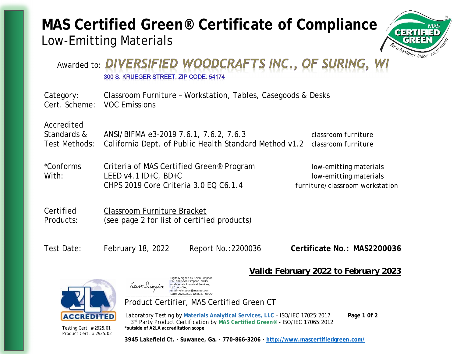# **MAS Certified Green® Certificate of Compliance** Low-Emitting Materials



## Awarded to: DIVERSIFIED WOODCRAFTS INC., OF SURING, 300 S. KRUEGER STREET: ZIP CODE: 54174

Category: Classroom Furniture – Workstation, Tables, Casegoods & Desks Cert. Scheme: VOC Emissions Accredited Standards & ANSI/BIFMA e3-2019 7.6.1, 7.6.2, 7.6.3 *classroom furniture* Test Methods: California Dept. of Public Health Standard Method v1.2 *classroom furniture*

| *Conforms | Criteria of MAS Certified Green <sup>®</sup> Program | low-emitting materials          |
|-----------|------------------------------------------------------|---------------------------------|
| With:     | LEED $v4.1$ ID+C, BD+C                               | low-emitting materials          |
|           | CHPS 2019 Core Criteria 3.0 EQ C6.1.4                | furniture/classroom workstation |

Certified Classroom Furniture Bracket Products: (see page 2 for list of certified products)

Test Date: February 18, 2022 Report No.:2200036 Certificate No.: MAS2200036

*Valid: February 2022 to February 2023*



Product Cert. # 2925.02

#### Digitally signed by Kevin Simpson DN: cn=Kevin Simpson, c=US Kevin Simsson o=Materials Analytical Services, LLC, ou=QA, email=ksimpson@mastest.com Date: 2022.02.21 12:36:37 -05'00

Product Certifier, MAS Certified Green CT

Laboratory Testing by **Materials Analytical Services, LLC** – ISO/IEC 17025:2017 **Page 1 0f 2** 3 rd Party Product Certification by **MAS Certified Green®** - ISO/IEC 17065:2012 Testing Cert. # 2925.01 **\*outside of A2LA accreditation scope**

**3945 Lakefield Ct. · Suwanee, Ga. · 770-866-3206 · http://www.mascertifiedgreen.com/**